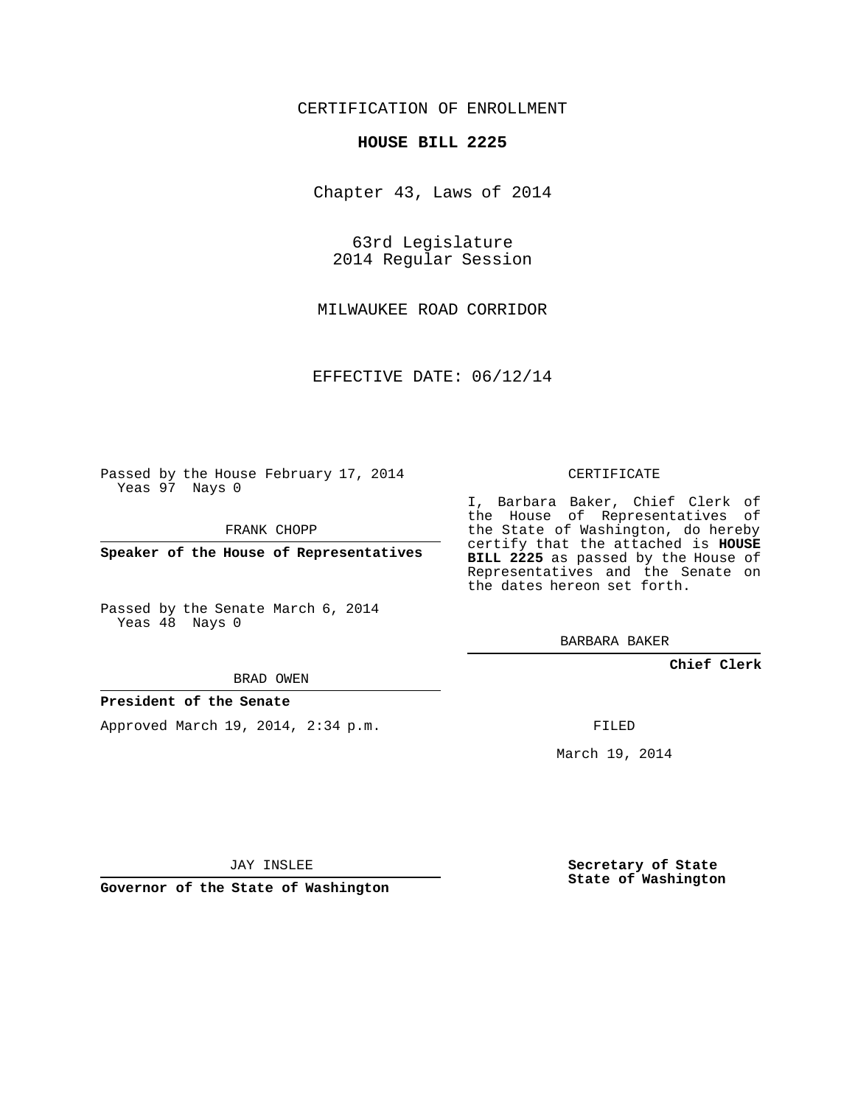## CERTIFICATION OF ENROLLMENT

#### **HOUSE BILL 2225**

Chapter 43, Laws of 2014

63rd Legislature 2014 Regular Session

MILWAUKEE ROAD CORRIDOR

EFFECTIVE DATE: 06/12/14

Passed by the House February 17, 2014 Yeas 97 Nays 0

FRANK CHOPP

**Speaker of the House of Representatives**

Passed by the Senate March 6, 2014 Yeas 48 Nays 0

BRAD OWEN

### **President of the Senate**

Approved March 19, 2014, 2:34 p.m.

CERTIFICATE

I, Barbara Baker, Chief Clerk of the House of Representatives of the State of Washington, do hereby certify that the attached is **HOUSE BILL 2225** as passed by the House of Representatives and the Senate on the dates hereon set forth.

BARBARA BAKER

**Chief Clerk**

FILED

March 19, 2014

JAY INSLEE

**Governor of the State of Washington**

**Secretary of State State of Washington**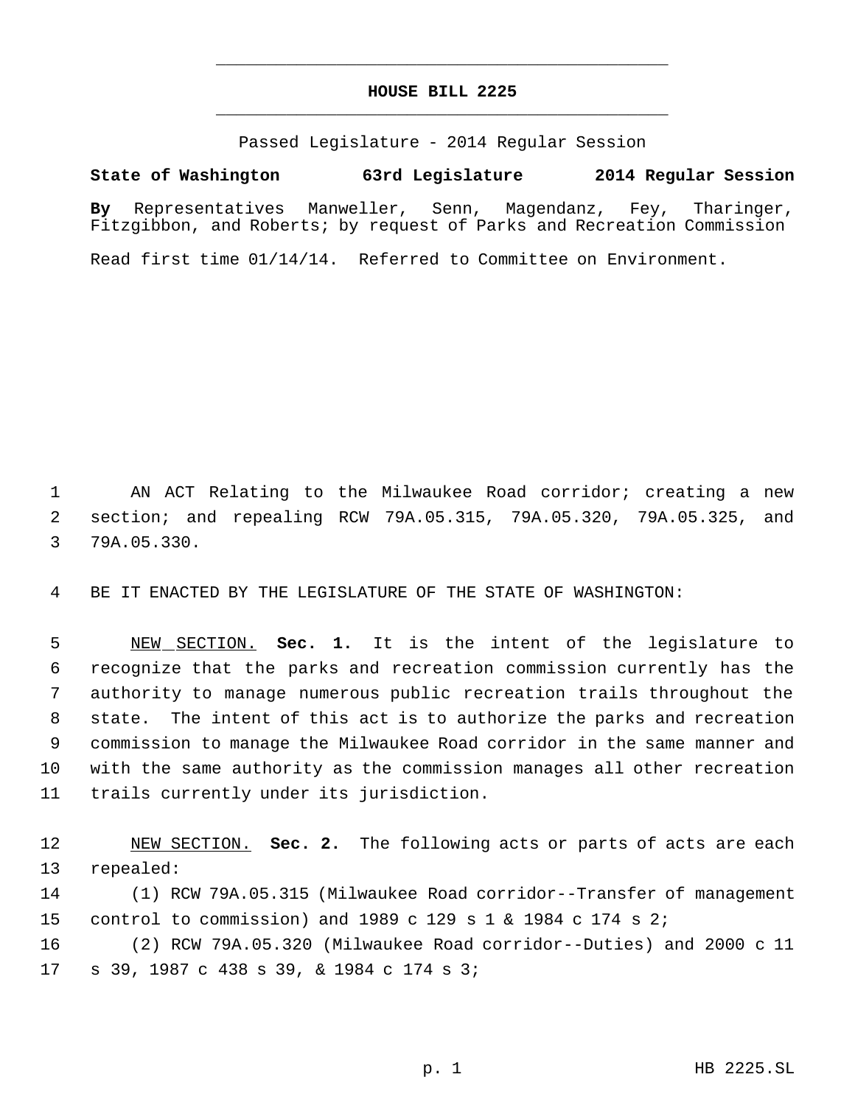# **HOUSE BILL 2225** \_\_\_\_\_\_\_\_\_\_\_\_\_\_\_\_\_\_\_\_\_\_\_\_\_\_\_\_\_\_\_\_\_\_\_\_\_\_\_\_\_\_\_\_\_

\_\_\_\_\_\_\_\_\_\_\_\_\_\_\_\_\_\_\_\_\_\_\_\_\_\_\_\_\_\_\_\_\_\_\_\_\_\_\_\_\_\_\_\_\_

Passed Legislature - 2014 Regular Session

## **State of Washington 63rd Legislature 2014 Regular Session**

**By** Representatives Manweller, Senn, Magendanz, Fey, Tharinger, Fitzgibbon, and Roberts; by request of Parks and Recreation Commission

Read first time 01/14/14. Referred to Committee on Environment.

 AN ACT Relating to the Milwaukee Road corridor; creating a new section; and repealing RCW 79A.05.315, 79A.05.320, 79A.05.325, and 79A.05.330.

BE IT ENACTED BY THE LEGISLATURE OF THE STATE OF WASHINGTON:

 NEW SECTION. **Sec. 1.** It is the intent of the legislature to recognize that the parks and recreation commission currently has the authority to manage numerous public recreation trails throughout the state. The intent of this act is to authorize the parks and recreation commission to manage the Milwaukee Road corridor in the same manner and with the same authority as the commission manages all other recreation trails currently under its jurisdiction.

 NEW SECTION. **Sec. 2.** The following acts or parts of acts are each repealed:

 (1) RCW 79A.05.315 (Milwaukee Road corridor--Transfer of management control to commission) and 1989 c 129 s 1 & 1984 c 174 s 2;

 (2) RCW 79A.05.320 (Milwaukee Road corridor--Duties) and 2000 c 11 s 39, 1987 c 438 s 39, & 1984 c 174 s 3;